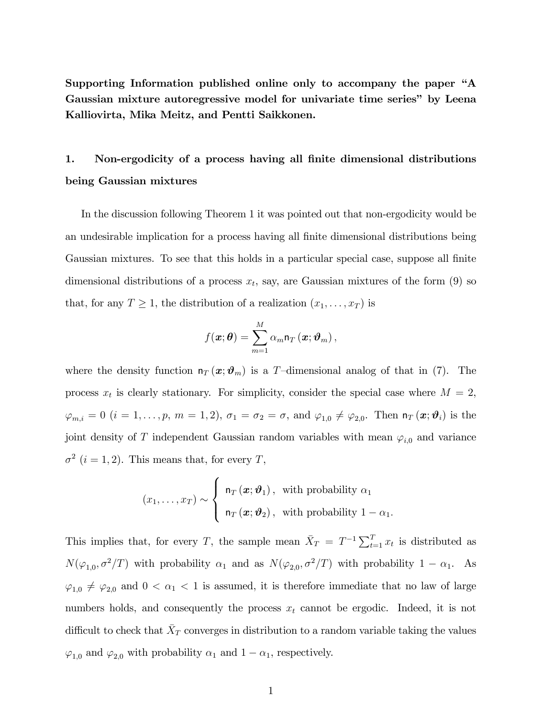Supporting Information published online only to accompany the paper "A Gaussian mixture autoregressive model for univariate time series" by Leena Kalliovirta, Mika Meitz, and Pentti Saikkonen.

## 1. Non-ergodicity of a process having all finite dimensional distributions being Gaussian mixtures

In the discussion following Theorem 1 it was pointed out that non-ergodicity would be an undesirable implication for a process having all finite dimensional distributions being Gaussian mixtures. To see that this holds in a particular special case, suppose all finite dimensional distributions of a process  $x_t$ , say, are Gaussian mixtures of the form (9) so that, for any  $T \geq 1$ , the distribution of a realization  $(x_1, \ldots, x_T)$  is

$$
f(\boldsymbol{x}; \boldsymbol{\theta}) = \sum_{m=1}^{M} \alpha_m \mathsf{n}_T \left( \boldsymbol{x}; \boldsymbol{\vartheta}_m \right),
$$

where the density function  $n_T(x; \theta_m)$  is a T-dimensional analog of that in (7). The process  $x_t$  is clearly stationary. For simplicity, consider the special case where  $M = 2$ ,  $\varphi_{m,i}=0$   $(i=1,\ldots,p, m=1,2), \sigma_1=\sigma_2=\sigma,$  and  $\varphi_{1,0}\neq \varphi_{2,0}$ . Then  $\mathsf{n}_T\left(\boldsymbol{x};\boldsymbol{\vartheta}_i\right)$  is the joint density of T independent Gaussian random variables with mean  $\varphi_{i,0}$  and variance  $\sigma^2$  (*i* = 1, 2). This means that, for every T,

$$
(x_1, \ldots, x_T) \sim \begin{cases} n_T(\boldsymbol{x}; \boldsymbol{\vartheta}_1), & \text{with probability } \alpha_1 \\ n_T(\boldsymbol{x}; \boldsymbol{\vartheta}_2), & \text{with probability } 1 - \alpha_1. \end{cases}
$$

This implies that, for every T, the sample mean  $\bar{X}_T = T^{-1} \sum_{t=1}^T x_t$  is distributed as  $N(\varphi_{1,0}, \sigma^2/T)$  with probability  $\alpha_1$  and as  $N(\varphi_{2,0}, \sigma^2/T)$  with probability  $1 - \alpha_1$ . As  $\varphi_{1,0} \neq \varphi_{2,0}$  and  $0 < \alpha_1 < 1$  is assumed, it is therefore immediate that no law of large numbers holds, and consequently the process  $x_t$  cannot be ergodic. Indeed, it is not difficult to check that  $\bar{X}_T$  converges in distribution to a random variable taking the values  $\varphi_{1,0}$  and  $\varphi_{2,0}$  with probability  $\alpha_1$  and  $1 - \alpha_1$ , respectively.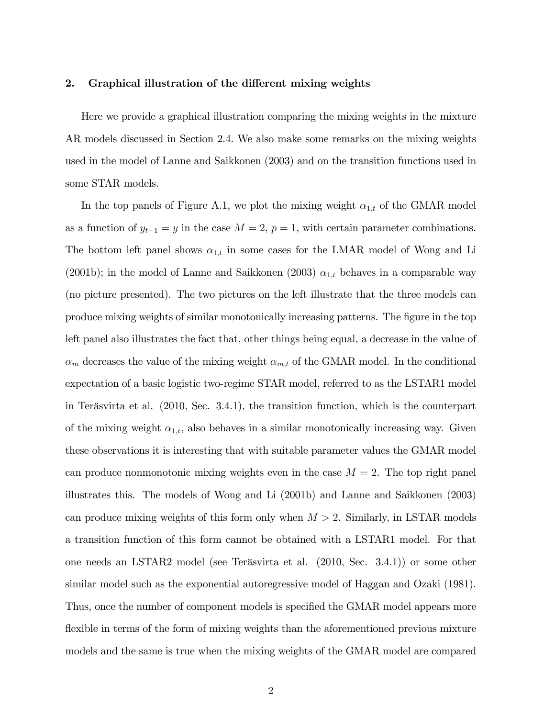## 2. Graphical illustration of the different mixing weights

Here we provide a graphical illustration comparing the mixing weights in the mixture AR models discussed in Section 2.4. We also make some remarks on the mixing weights used in the model of Lanne and Saikkonen (2003) and on the transition functions used in some STAR models.

In the top panels of Figure A.1, we plot the mixing weight  $\alpha_{1,t}$  of the GMAR model as a function of  $y_{t-1} = y$  in the case  $M = 2$ ,  $p = 1$ , with certain parameter combinations. The bottom left panel shows  $\alpha_{1,t}$  in some cases for the LMAR model of Wong and Li (2001b); in the model of Lanne and Saikkonen (2003)  $\alpha_{1,t}$  behaves in a comparable way (no picture presented). The two pictures on the left illustrate that the three models can produce mixing weights of similar monotonically increasing patterns. The figure in the top left panel also illustrates the fact that, other things being equal, a decrease in the value of  $\alpha_m$  decreases the value of the mixing weight  $\alpha_{m,t}$  of the GMAR model. In the conditional expectation of a basic logistic two-regime STAR model, referred to as the LSTAR1 model in Teräsvirta et al. (2010, Sec. 3.4.1), the transition function, which is the counterpart of the mixing weight  $\alpha_{1,t}$ , also behaves in a similar monotonically increasing way. Given these observations it is interesting that with suitable parameter values the GMAR model can produce nonmonotonic mixing weights even in the case  $M = 2$ . The top right panel illustrates this. The models of Wong and Li (2001b) and Lanne and Saikkonen (2003) can produce mixing weights of this form only when  $M > 2$ . Similarly, in LSTAR models a transition function of this form cannot be obtained with a LSTAR1 model. For that one needs an LSTAR2 model (see Teräsvirta et al. (2010, Sec. 3.4.1)) or some other similar model such as the exponential autoregressive model of Haggan and Ozaki (1981). Thus, once the number of component models is specified the GMAR model appears more flexible in terms of the form of mixing weights than the aforementioned previous mixture models and the same is true when the mixing weights of the GMAR model are compared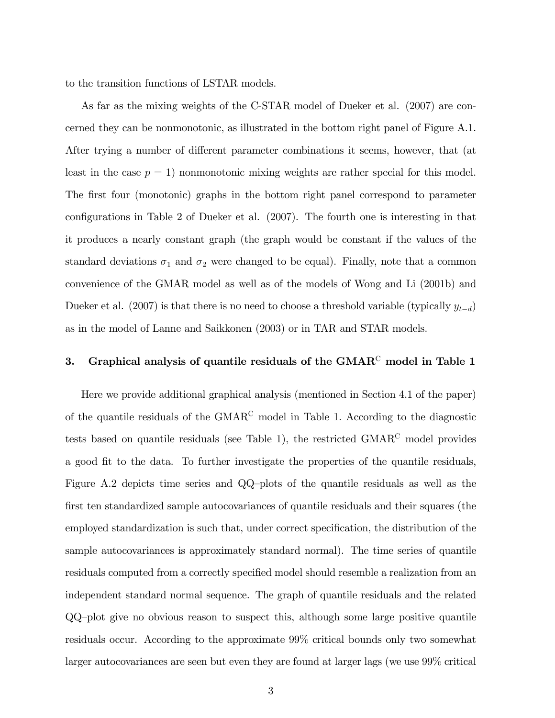to the transition functions of LSTAR models.

As far as the mixing weights of the C-STAR model of Dueker et al. (2007) are concerned they can be nonmonotonic, as illustrated in the bottom right panel of Figure A.1. After trying a number of different parameter combinations it seems, however, that (at least in the case  $p = 1$ ) nonmonotonic mixing weights are rather special for this model. The first four (monotonic) graphs in the bottom right panel correspond to parameter configurations in Table 2 of Dueker et al.  $(2007)$ . The fourth one is interesting in that it produces a nearly constant graph (the graph would be constant if the values of the standard deviations  $\sigma_1$  and  $\sigma_2$  were changed to be equal). Finally, note that a common convenience of the GMAR model as well as of the models of Wong and Li (2001b) and Dueker et al. (2007) is that there is no need to choose a threshold variable (typically  $y_{t-d}$ ) as in the model of Lanne and Saikkonen (2003) or in TAR and STAR models.

## 3. Graphical analysis of quantile residuals of the  $GMAR<sup>C</sup>$  model in Table 1

Here we provide additional graphical analysis (mentioned in Section 4.1 of the paper) of the quantile residuals of the GMAR<sup>C</sup> model in Table 1. According to the diagnostic tests based on quantile residuals (see Table 1), the restricted GMAR<sup>C</sup> model provides a good fit to the data. To further investigate the properties of the quantile residuals, Figure A.2 depicts time series and  $QQ$ -plots of the quantile residuals as well as the first ten standardized sample autocovariances of quantile residuals and their squares (the employed standardization is such that, under correct specification, the distribution of the sample autocovariances is approximately standard normal). The time series of quantile residuals computed from a correctly specified model should resemble a realization from an independent standard normal sequence. The graph of quantile residuals and the related  $QQ$ -plot give no obvious reason to suspect this, although some large positive quantile residuals occur. According to the approximate 99% critical bounds only two somewhat larger autocovariances are seen but even they are found at larger lags (we use 99% critical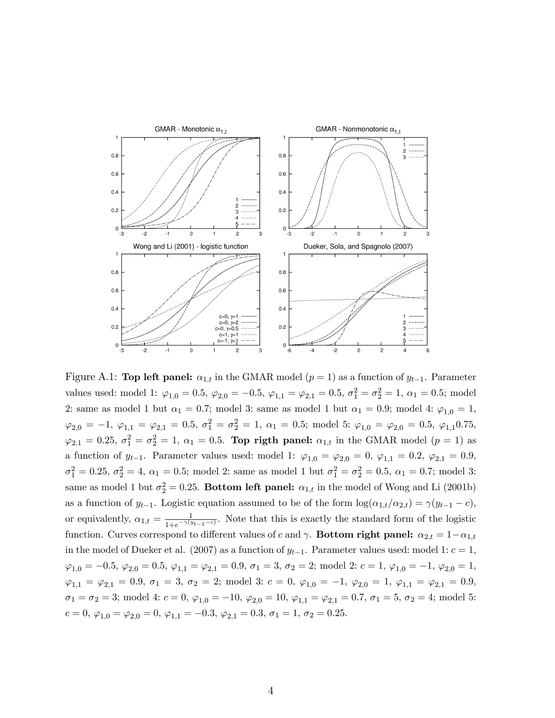

Figure A.1: Top left panel:  $\alpha_{1,t}$  in the GMAR model ( $p = 1$ ) as a function of  $y_{t-1}$ . Parameter values used: model 1:  $\varphi_{1,0} = 0.5$ ,  $\varphi_{2,0} = -0.5$ ,  $\varphi_{1,1} = \varphi_{2,1} = 0.5$ ,  $\sigma_1^2 = \sigma_2^2 = 1$ ,  $\alpha_1 = 0.5$ ; model 2: same as model 1 but  $\alpha_1 = 0.7$ ; model 3: same as model 1 but  $\alpha_1 = 0.9$ ; model 4:  $\varphi_{1,0} = 1$ ,  $\varphi_{2,0} = -1, \ \varphi_{1,1} = \varphi_{2,1} = 0.5, \ \sigma_1^2 = \sigma_2^2 = 1, \ \alpha_1 = 0.5; \ \text{model 5: } \varphi_{1,0} = \varphi_{2,0} = 0.5, \ \varphi_{1,1} 0.75,$  $\varphi_{2,1} = 0.25, \ \sigma_1^2 = \sigma_2^2 = 1, \ \alpha_1 = 0.5.$  Top rigth panel:  $\alpha_{1,t}$  in the GMAR model  $(p = 1)$  as a function of  $y_{t-1}$ . Parameter values used: model 1:  $\varphi_{1,0} = \varphi_{2,0} = 0$ ,  $\varphi_{1,1} = 0.2$ ,  $\varphi_{2,1} = 0.9$ ,  $\sigma_1^2 = 0.25, \sigma_2^2 = 4, \alpha_1 = 0.5; \text{ model 2: same as model 1 but } \sigma_1^2 = \sigma_2^2 = 0.5, \alpha_1 = 0.7; \text{ model 3:}$ same as model 1 but  $\sigma_2^2 = 0.25$ . Bottom left panel:  $\alpha_{1,t}$  in the model of Wong and Li (2001b) as a function of  $y_{t-1}$ . Logistic equation assumed to be of the form  $\log(\alpha_{1,t}/\alpha_{2,t}) = \gamma(y_{t-1} - c)$ , or equivalently,  $\alpha_{1,t} = \frac{1}{1 + e^{-\gamma(y)}}$  $\frac{1}{1+e^{-\gamma(y_{t-1}-c)}}$ . Note that this is exactly the standard form of the logistic function. Curves correspond to different values of c and  $\gamma$ . **Bottom right panel:**  $\alpha_{2,t} = 1 - \alpha_{1,t}$ in the model of Dueker et al. (2007) as a function of  $y_{t-1}$ . Parameter values used: model 1:  $c = 1$ ,  $\varphi_{1,0} = -0.5, \varphi_{2,0} = 0.5, \varphi_{1,1} = \varphi_{2,1} = 0.9, \sigma_1 = 3, \sigma_2 = 2; \text{ model } 2: c = 1, \varphi_{1,0} = -1, \varphi_{2,0} = 1,$  $\varphi_{1,1} = \varphi_{2,1} = 0.9, \sigma_1 = 3, \sigma_2 = 2; \text{ model } 3: c = 0, \varphi_{1,0} = -1, \varphi_{2,0} = 1, \varphi_{1,1} = \varphi_{2,1} = 0.9,$  $\sigma_1 = \sigma_2 = 3$ ; model 4:  $c = 0$ ,  $\varphi_{1,0} = -10$ ,  $\varphi_{2,0} = 10$ ,  $\varphi_{1,1} = \varphi_{2,1} = 0.7$ ,  $\sigma_1 = 5$ ,  $\sigma_2 = 4$ ; model 5:  $c = 0, \varphi_{1,0} = \varphi_{2,0} = 0, \varphi_{1,1} = -0.3, \varphi_{2,1} = 0.3, \sigma_1 = 1, \sigma_2 = 0.25.$